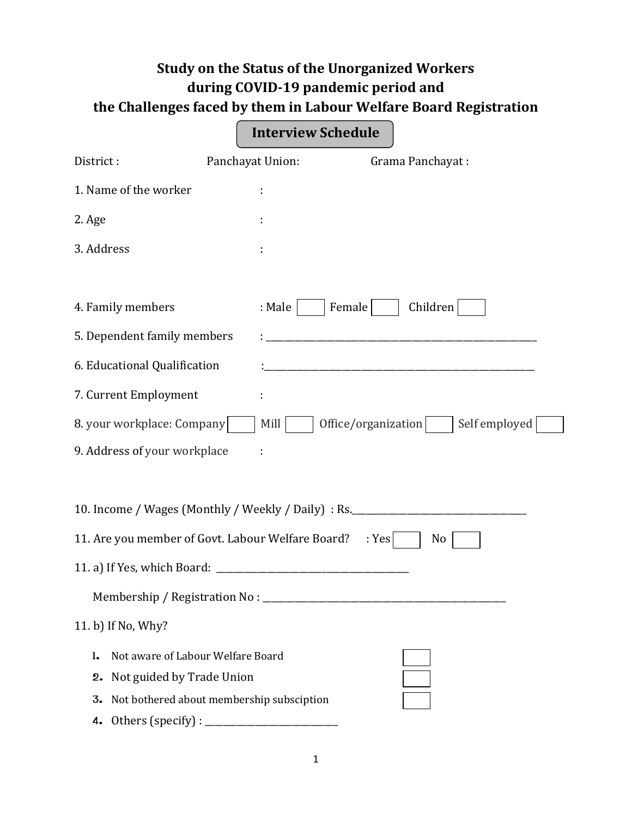## **Study on the Status of the Unorganized Workers during COVID-19 pandemic period and the Challenges faced by them in Labour Welfare Board Registration**

|                                                                                                  | <b>Interview Schedule</b> |                                                                                  |
|--------------------------------------------------------------------------------------------------|---------------------------|----------------------------------------------------------------------------------|
| District:                                                                                        | Panchayat Union:          | Grama Panchayat:                                                                 |
| 1. Name of the worker                                                                            | ÷                         |                                                                                  |
| 2. Age                                                                                           |                           |                                                                                  |
| 3. Address                                                                                       |                           |                                                                                  |
|                                                                                                  |                           |                                                                                  |
| 4. Family members                                                                                | : Male                    | Children<br>Female                                                               |
| 5. Dependent family members                                                                      |                           |                                                                                  |
| 6. Educational Qualification                                                                     |                           | <u> 1980 - Johann Barn, margaret eta idazlear (h. 1980).</u>                     |
| 7. Current Employment                                                                            |                           |                                                                                  |
| 8. your workplace: Company                                                                       | Mill                      | Office/organization<br>Self employed                                             |
| 9. Address of your workplace                                                                     |                           |                                                                                  |
|                                                                                                  |                           |                                                                                  |
|                                                                                                  |                           | 10. Income / Wages (Monthly / Weekly / Daily) : Rs. ____________________________ |
| 11. Are you member of Govt. Labour Welfare Board?                                                |                           | : Yes<br>No                                                                      |
| 11. a) If Yes, which Board: _                                                                    |                           |                                                                                  |
|                                                                                                  |                           |                                                                                  |
| 11. b) If No, Why?                                                                               |                           |                                                                                  |
| Not aware of Labour Welfare Board<br>ı.                                                          |                           |                                                                                  |
| 2. Not guided by Trade Union                                                                     |                           |                                                                                  |
| Not bothered about membership subsciption<br>3.                                                  |                           |                                                                                  |
| Others (specify) : $\sqrt{\frac{2}{1-\frac{1}{2}} \left(\frac{1}{2}-\frac{1}{2}\right)^2}$<br>4. |                           |                                                                                  |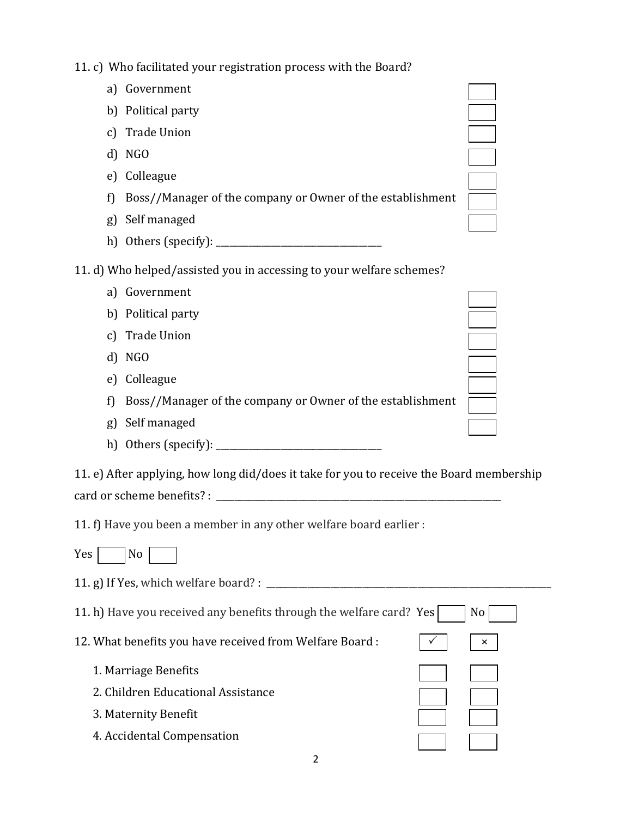11. c) Who facilitated your registration process with the Board?

| a) Government<br>b) Political party<br>c) Trade Union<br>d) NGO<br>e) Colleague<br>Boss//Manager of the company or Owner of the establishment<br>f)<br>Self managed<br>g)<br>11. d) Who helped/assisted you in accessing to your welfare schemes?<br>Government<br>a)<br>b) Political party<br>c) Trade Union<br>d) NGO<br>Colleague<br>e)<br>Boss//Manager of the company or Owner of the establishment<br>f)<br>Self managed<br>g)<br>11. e) After applying, how long did/does it take for you to receive the Board membership<br>11. f) Have you been a member in any other welfare board earlier :<br>Yes<br>No<br>11. h) Have you received any benefits through the welfare card? Yes<br>No<br>12. What benefits you have received from Welfare Board:<br>×<br>1. Marriage Benefits<br>2. Children Educational Assistance<br>3. Maternity Benefit<br>4. Accidental Compensation | II. C) WHO facilitated your registration process with the Doard: |  |
|--------------------------------------------------------------------------------------------------------------------------------------------------------------------------------------------------------------------------------------------------------------------------------------------------------------------------------------------------------------------------------------------------------------------------------------------------------------------------------------------------------------------------------------------------------------------------------------------------------------------------------------------------------------------------------------------------------------------------------------------------------------------------------------------------------------------------------------------------------------------------------------|------------------------------------------------------------------|--|
|                                                                                                                                                                                                                                                                                                                                                                                                                                                                                                                                                                                                                                                                                                                                                                                                                                                                                      |                                                                  |  |
|                                                                                                                                                                                                                                                                                                                                                                                                                                                                                                                                                                                                                                                                                                                                                                                                                                                                                      |                                                                  |  |
|                                                                                                                                                                                                                                                                                                                                                                                                                                                                                                                                                                                                                                                                                                                                                                                                                                                                                      |                                                                  |  |
|                                                                                                                                                                                                                                                                                                                                                                                                                                                                                                                                                                                                                                                                                                                                                                                                                                                                                      |                                                                  |  |
|                                                                                                                                                                                                                                                                                                                                                                                                                                                                                                                                                                                                                                                                                                                                                                                                                                                                                      |                                                                  |  |
|                                                                                                                                                                                                                                                                                                                                                                                                                                                                                                                                                                                                                                                                                                                                                                                                                                                                                      |                                                                  |  |
|                                                                                                                                                                                                                                                                                                                                                                                                                                                                                                                                                                                                                                                                                                                                                                                                                                                                                      |                                                                  |  |
|                                                                                                                                                                                                                                                                                                                                                                                                                                                                                                                                                                                                                                                                                                                                                                                                                                                                                      |                                                                  |  |
|                                                                                                                                                                                                                                                                                                                                                                                                                                                                                                                                                                                                                                                                                                                                                                                                                                                                                      |                                                                  |  |
|                                                                                                                                                                                                                                                                                                                                                                                                                                                                                                                                                                                                                                                                                                                                                                                                                                                                                      |                                                                  |  |
|                                                                                                                                                                                                                                                                                                                                                                                                                                                                                                                                                                                                                                                                                                                                                                                                                                                                                      |                                                                  |  |
|                                                                                                                                                                                                                                                                                                                                                                                                                                                                                                                                                                                                                                                                                                                                                                                                                                                                                      |                                                                  |  |
|                                                                                                                                                                                                                                                                                                                                                                                                                                                                                                                                                                                                                                                                                                                                                                                                                                                                                      |                                                                  |  |
|                                                                                                                                                                                                                                                                                                                                                                                                                                                                                                                                                                                                                                                                                                                                                                                                                                                                                      |                                                                  |  |
|                                                                                                                                                                                                                                                                                                                                                                                                                                                                                                                                                                                                                                                                                                                                                                                                                                                                                      |                                                                  |  |
|                                                                                                                                                                                                                                                                                                                                                                                                                                                                                                                                                                                                                                                                                                                                                                                                                                                                                      |                                                                  |  |
|                                                                                                                                                                                                                                                                                                                                                                                                                                                                                                                                                                                                                                                                                                                                                                                                                                                                                      |                                                                  |  |
|                                                                                                                                                                                                                                                                                                                                                                                                                                                                                                                                                                                                                                                                                                                                                                                                                                                                                      |                                                                  |  |
|                                                                                                                                                                                                                                                                                                                                                                                                                                                                                                                                                                                                                                                                                                                                                                                                                                                                                      |                                                                  |  |
|                                                                                                                                                                                                                                                                                                                                                                                                                                                                                                                                                                                                                                                                                                                                                                                                                                                                                      |                                                                  |  |
|                                                                                                                                                                                                                                                                                                                                                                                                                                                                                                                                                                                                                                                                                                                                                                                                                                                                                      |                                                                  |  |
|                                                                                                                                                                                                                                                                                                                                                                                                                                                                                                                                                                                                                                                                                                                                                                                                                                                                                      |                                                                  |  |
|                                                                                                                                                                                                                                                                                                                                                                                                                                                                                                                                                                                                                                                                                                                                                                                                                                                                                      |                                                                  |  |
|                                                                                                                                                                                                                                                                                                                                                                                                                                                                                                                                                                                                                                                                                                                                                                                                                                                                                      |                                                                  |  |
|                                                                                                                                                                                                                                                                                                                                                                                                                                                                                                                                                                                                                                                                                                                                                                                                                                                                                      |                                                                  |  |
|                                                                                                                                                                                                                                                                                                                                                                                                                                                                                                                                                                                                                                                                                                                                                                                                                                                                                      |                                                                  |  |
|                                                                                                                                                                                                                                                                                                                                                                                                                                                                                                                                                                                                                                                                                                                                                                                                                                                                                      |                                                                  |  |
|                                                                                                                                                                                                                                                                                                                                                                                                                                                                                                                                                                                                                                                                                                                                                                                                                                                                                      |                                                                  |  |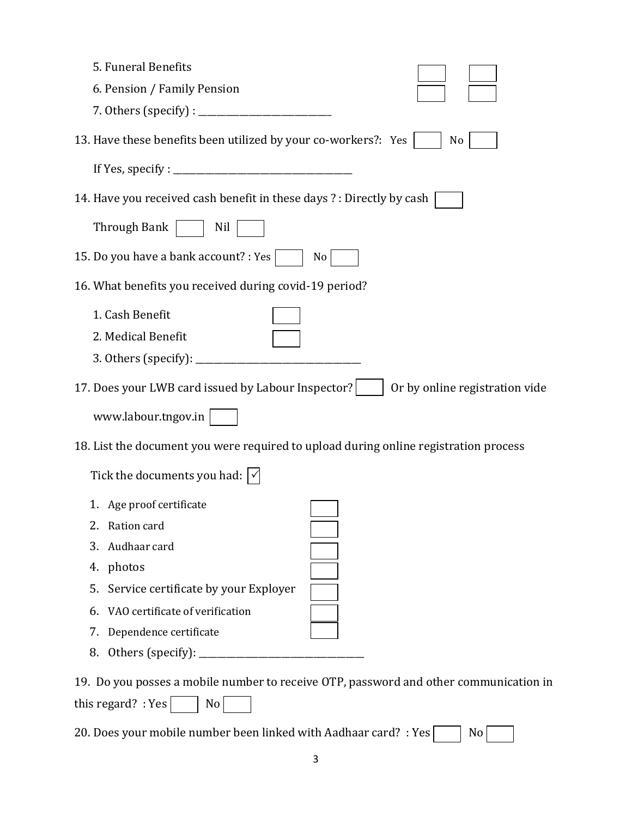| 5. Funeral Benefits                                                                   |                                |
|---------------------------------------------------------------------------------------|--------------------------------|
| 6. Pension / Family Pension                                                           |                                |
|                                                                                       |                                |
| 13. Have these benefits been utilized by your co-workers?: Yes                        | No                             |
|                                                                                       |                                |
| 14. Have you received cash benefit in these days ? : Directly by cash                 |                                |
| Through Bank<br>Nil                                                                   |                                |
| 15. Do you have a bank account? : Yes  <br>No                                         |                                |
| 16. What benefits you received during covid-19 period?                                |                                |
| 1. Cash Benefit                                                                       |                                |
| 2. Medical Benefit                                                                    |                                |
|                                                                                       |                                |
| 17. Does your LWB card issued by Labour Inspector?                                    | Or by online registration vide |
| www.labour.tngov.in                                                                   |                                |
| 18. List the document you were required to upload during online registration process  |                                |
| Tick the documents you had: $ \triangleleft$                                          |                                |
| 1. Age proof certificate                                                              |                                |
| 2.<br>Ration card                                                                     |                                |
| Audhaar card<br>3.                                                                    |                                |
| photos<br>4.                                                                          |                                |
| Service certificate by your Exployer<br>5.                                            |                                |
| VAO certificate of verification<br>6.                                                 |                                |
| Dependence certificate<br>7.                                                          |                                |
| Others (specify): _<br>8.                                                             |                                |
| 19. Do you posses a mobile number to receive OTP, password and other communication in |                                |

20. Does your mobile number been linked with Aadhaar card? : Yes  $\Box$  No

this regard? : Yes  $\fbox{ \_}$  No  $\fbox{ \_}$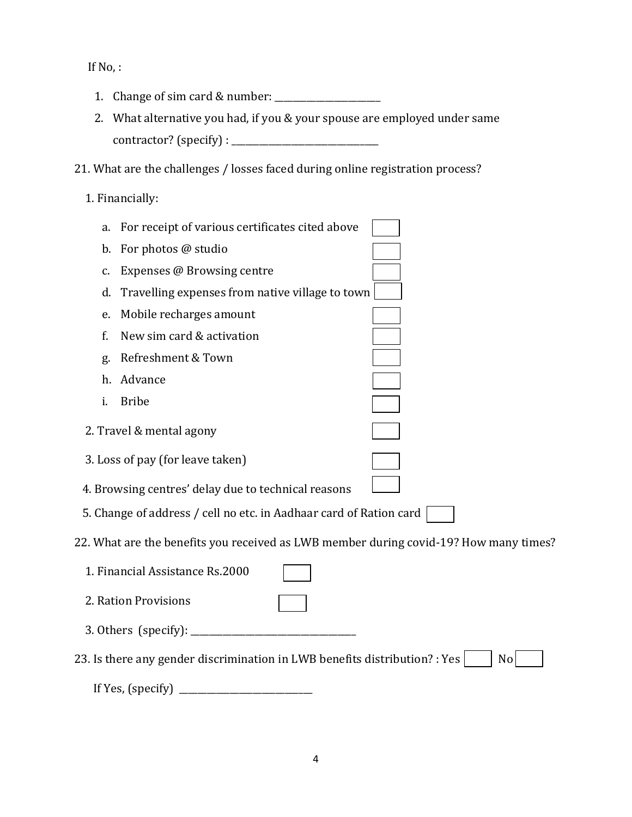If No, :

- 1. Change of sim card & number: \_\_\_\_\_\_\_\_\_\_\_\_\_\_\_\_\_\_\_\_\_\_\_
- 2. What alternative you had, if you & your spouse are employed under same contractor? (specify) : \_\_\_\_\_\_\_\_\_\_\_\_\_\_\_\_\_\_\_\_\_\_\_\_\_\_\_\_\_\_\_\_
- 21. What are the challenges / losses faced during online registration process?
	- 1. Financially:

| a. | For receipt of various certificates cited above                            |                                                                                       |
|----|----------------------------------------------------------------------------|---------------------------------------------------------------------------------------|
| b. | For photos @ studio                                                        |                                                                                       |
| c. | Expenses @ Browsing centre                                                 |                                                                                       |
| d. | Travelling expenses from native village to town                            |                                                                                       |
| e. | Mobile recharges amount                                                    |                                                                                       |
| f. | New sim card & activation                                                  |                                                                                       |
| g. | Refreshment & Town                                                         |                                                                                       |
|    | h. Advance                                                                 |                                                                                       |
| i. | <b>Bribe</b>                                                               |                                                                                       |
|    | 2. Travel & mental agony                                                   |                                                                                       |
|    | 3. Loss of pay (for leave taken)                                           |                                                                                       |
|    | 4. Browsing centres' delay due to technical reasons                        |                                                                                       |
|    | 5. Change of address / cell no etc. in Aadhaar card of Ration card         |                                                                                       |
|    |                                                                            | 22. What are the benefits you received as LWB member during covid-19? How many times? |
|    | 1. Financial Assistance Rs.2000                                            |                                                                                       |
|    | 2. Ration Provisions                                                       |                                                                                       |
|    | 3. Others (specify):                                                       |                                                                                       |
|    | 23. Is there any gender discrimination in LWB benefits distribution? : Yes | N <sub>o</sub>                                                                        |
|    | If Yes, (specify)                                                          |                                                                                       |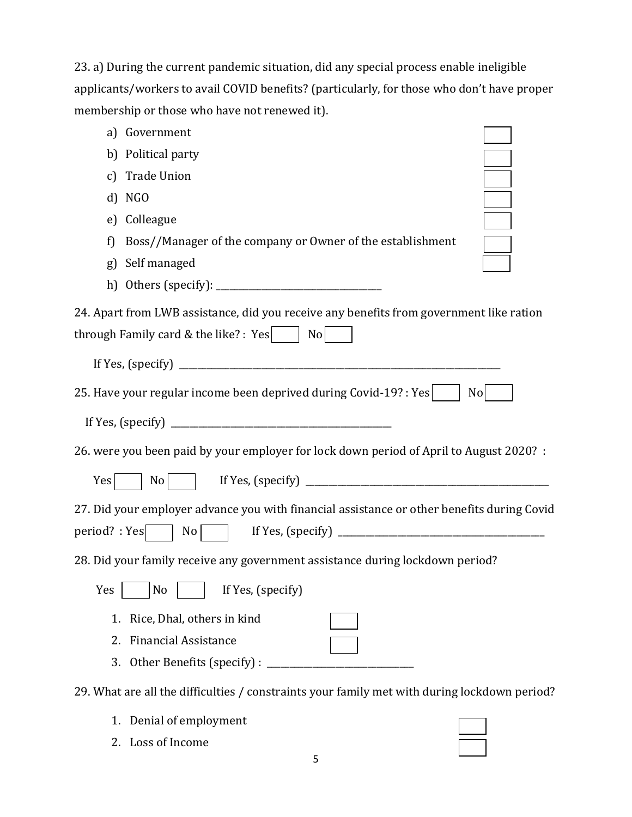| 23. a) During the current pandemic situation, did any special process enable ineligible    |
|--------------------------------------------------------------------------------------------|
| applicants/workers to avail COVID benefits? (particularly, for those who don't have proper |
| membership or those who have not renewed it).                                              |

| Government<br>a)                                                                                                                                                      |
|-----------------------------------------------------------------------------------------------------------------------------------------------------------------------|
| b) Political party                                                                                                                                                    |
| <b>Trade Union</b><br>$\mathcal{C}$                                                                                                                                   |
| NGO<br>d)                                                                                                                                                             |
| Colleague<br>$\epsilon$                                                                                                                                               |
| Boss//Manager of the company or Owner of the establishment<br>f)                                                                                                      |
| Self managed<br>g)                                                                                                                                                    |
|                                                                                                                                                                       |
| 24. Apart from LWB assistance, did you receive any benefits from government like ration<br>through Family card & the like? : $Yes$<br>N <sub>o</sub>                  |
|                                                                                                                                                                       |
| 25. Have your regular income been deprived during Covid-19?: Yes<br>No                                                                                                |
|                                                                                                                                                                       |
| 26. were you been paid by your employer for lock down period of April to August 2020? :                                                                               |
| Yes                                                                                                                                                                   |
| 27. Did your employer advance you with financial assistance or other benefits during Covid<br>$period? : Yes \begin{array}{c c c c} & No & \hline \hline \end{array}$ |
| 28. Did your family receive any government assistance during lockdown period?                                                                                         |
| — <del>—</del><br>If Yes, (specify)<br>Yes<br>N <sub>o</sub>                                                                                                          |
| Rice, Dhal, others in kind<br>1.                                                                                                                                      |
| <b>Financial Assistance</b><br>2.<br>Other Benefits (specify) :<br>3.                                                                                                 |
| 29. What are all the difficulties / constraints your family met with during lockdown period?                                                                          |
| Denial of employment<br>1.                                                                                                                                            |

2. Loss of Income